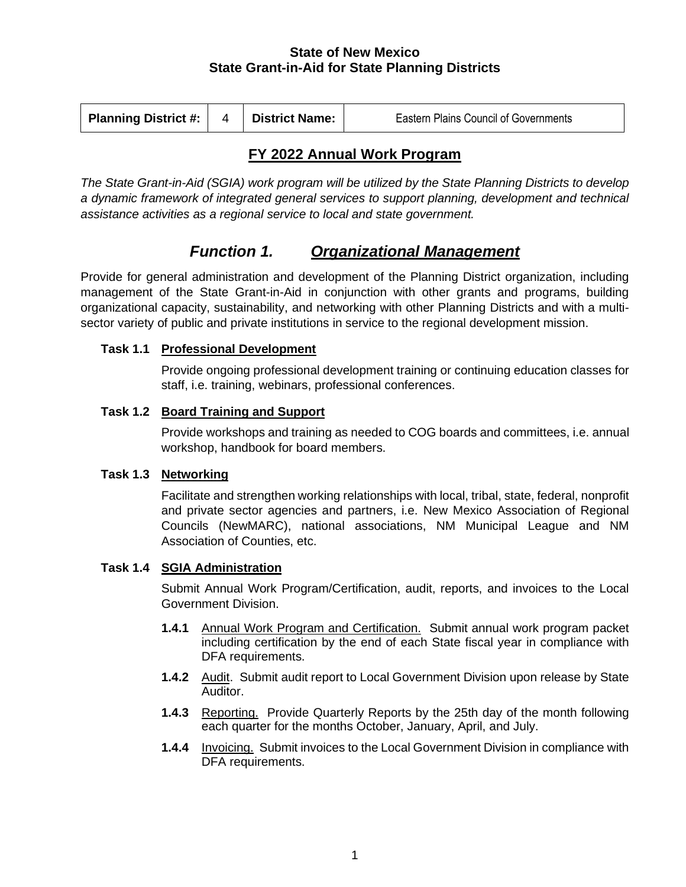### **State of New Mexico State Grant-in-Aid for State Planning Districts**

| <b>Planning District #:</b> | <b>District Name:</b> | <b>Eastern Plains Council of Governments</b> |
|-----------------------------|-----------------------|----------------------------------------------|
|                             |                       |                                              |

## **FY 2022 Annual Work Program**

*The State Grant-in-Aid (SGIA) work program will be utilized by the State Planning Districts to develop a dynamic framework of integrated general services to support planning, development and technical assistance activities as a regional service to local and state government.*

# *Function 1. Organizational Management*

Provide for general administration and development of the Planning District organization, including management of the State Grant-in-Aid in conjunction with other grants and programs, building organizational capacity, sustainability, and networking with other Planning Districts and with a multisector variety of public and private institutions in service to the regional development mission.

## **Task 1.1 Professional Development**

Provide ongoing professional development training or continuing education classes for staff, i.e. training, webinars, professional conferences.

## **Task 1.2 Board Training and Support**

Provide workshops and training as needed to COG boards and committees, i.e. annual workshop, handbook for board members.

## **Task 1.3 Networking**

Facilitate and strengthen working relationships with local, tribal, state, federal, nonprofit and private sector agencies and partners, i.e. New Mexico Association of Regional Councils (NewMARC), national associations, NM Municipal League and NM Association of Counties, etc.

## **Task 1.4 SGIA Administration**

Submit Annual Work Program/Certification, audit, reports, and invoices to the Local Government Division.

- **1.4.1** Annual Work Program and Certification. Submit annual work program packet including certification by the end of each State fiscal year in compliance with DFA requirements.
- **1.4.2** Audit.Submit audit report to Local Government Division upon release by State Auditor.
- **1.4.3** Reporting.Provide Quarterly Reports by the 25th day of the month following each quarter for the months October, January, April, and July.
- **1.4.4** Invoicing. Submit invoices to the Local Government Division in compliance with DFA requirements.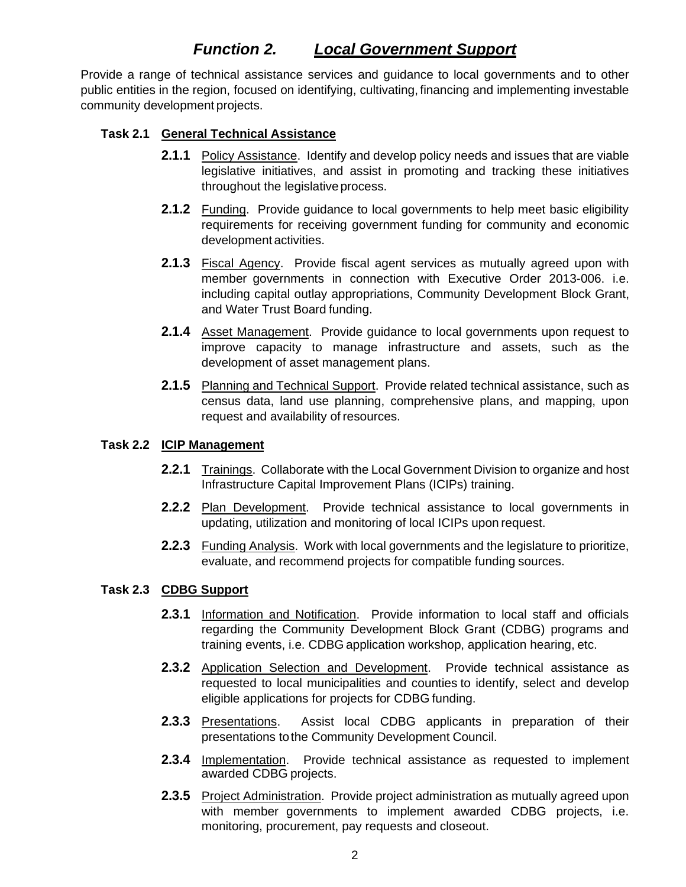## *Function 2. Local Government Support*

Provide a range of technical assistance services and guidance to local governments and to other public entities in the region, focused on identifying, cultivating, financing and implementing investable community development projects.

#### **Task 2.1 General Technical Assistance**

- **2.1.1** Policy Assistance. Identify and develop policy needs and issues that are viable legislative initiatives, and assist in promoting and tracking these initiatives throughout the legislative process.
- **2.1.2** Funding. Provide guidance to local governments to help meet basic eligibility requirements for receiving government funding for community and economic development activities.
- **2.1.3** Fiscal Agency. Provide fiscal agent services as mutually agreed upon with member governments in connection with Executive Order 2013-006. i.e. including capital outlay appropriations, Community Development Block Grant, and Water Trust Board funding.
- **2.1.4** Asset Management. Provide guidance to local governments upon request to improve capacity to manage infrastructure and assets, such as the development of asset management plans.
- **2.1.5** Planning and Technical Support. Provide related technical assistance, such as census data, land use planning, comprehensive plans, and mapping, upon request and availability of resources.

#### **Task 2.2 ICIP Management**

- **2.2.1** Trainings. Collaborate with the Local Government Division to organize and host Infrastructure Capital Improvement Plans (ICIPs) training.
- **2.2.2** Plan Development. Provide technical assistance to local governments in updating, utilization and monitoring of local ICIPs upon request.
- **2.2.3** Funding Analysis. Work with local governments and the legislature to prioritize, evaluate, and recommend projects for compatible funding sources.

#### **Task 2.3 CDBG Support**

- **2.3.1** Information and Notification. Provide information to local staff and officials regarding the Community Development Block Grant (CDBG) programs and training events, i.e. CDBG application workshop, application hearing, etc.
- **2.3.2** Application Selection and Development. Provide technical assistance as requested to local municipalities and counties to identify, select and develop eligible applications for projects for CDBG funding.
- **2.3.3** Presentations. Assist local CDBG applicants in preparation of their presentations tothe Community Development Council.
- **2.3.4** Implementation. Provide technical assistance as requested to implement awarded CDBG projects.
- **2.3.5** Project Administration. Provide project administration as mutually agreed upon with member governments to implement awarded CDBG projects, i.e. monitoring, procurement, pay requests and closeout.